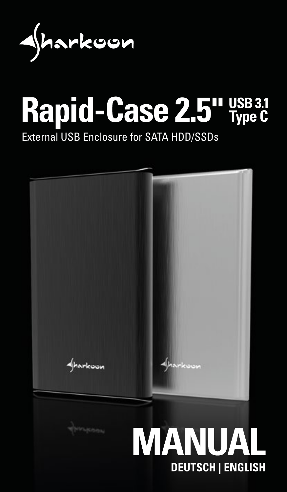

# Rapid-Case 2.5" USB 3.1

External USB Enclosure for SATA HDD/SSDs

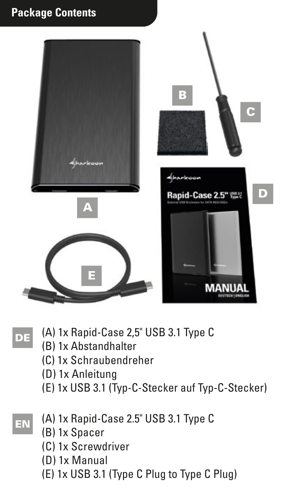## **Package Contents**



- (A) 1x Rapid-Case 2,5" USB 3.1 Type C DE
	- (B) 1x Abstandhalter
	- (C) 1x Schraubendreher
	- (D) 1x Anleitung
	- (E) 1x USB 3.1 (Typ-C-Stecker auf Typ-C-Stecker)
	- (A) 1x Rapid-Case 2.5" USB 3.1 Type C
		- (B) 1x Spacer
		- (C) 1x Screwdriver
		- (D) 1x Manual
		- (E) 1x USB 3.1 (Type C Plug to Type C Plug)
- EN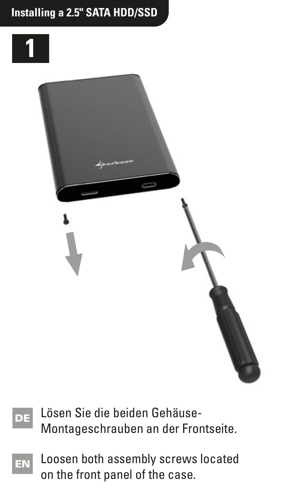## **Installing a 2.5" SATA HDD/SSD**





## DE

Lösen Sie die beiden Gehäuse-Montageschrauben an der Frontseite.

EN

Loosen both assembly screws located on the front panel of the case.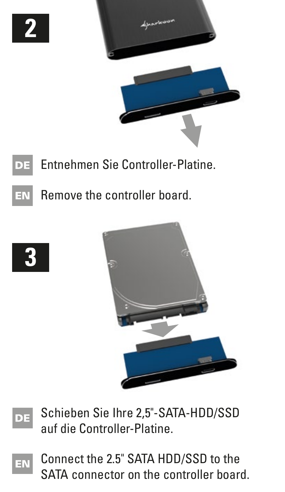



- Entnehmen Sie Controller-Platine.  $D =$ 
	- Remove the controller board.





- Schieben Sie Ihre 2,5"-SATA-HDD/SSD DE auf die Controller-Platine.
	- Connect the 2.5" SATA HDD/SSD to the EN SATA connector on the controller board.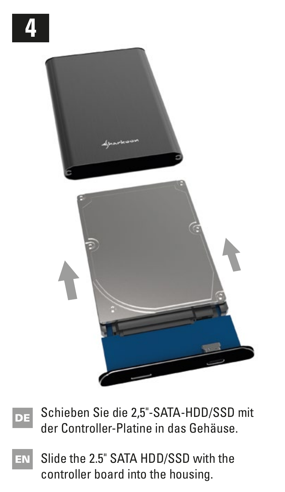

- Schieben Sie die 2,5"-SATA-HDD/SSD mit DE der Controller-Platine in das Gehäuse.
- Slide the 2.5" SATA HDD/SSD with the EN controller board into the housing.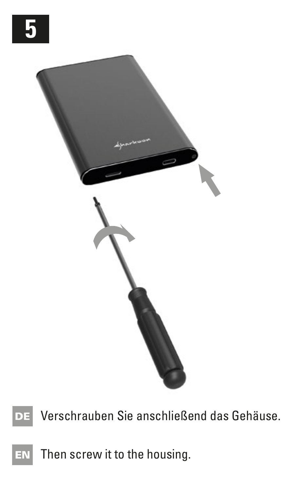







Then screw it to the housing.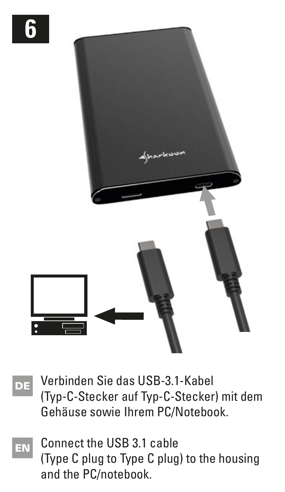



- Verbinden Sie das USB-3.1-Kabel DE (Typ-C-Stecker auf Typ-C-Stecker) mit dem Gehäuse sowie Ihrem PC/Notebook.
- Connect the USB 3.1 cable (Type C plug to Type C plug) to the housing and the PC/notebook.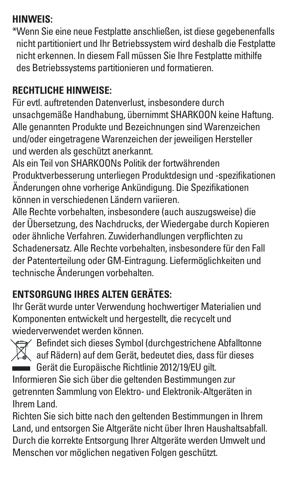#### **HINWEIS:**

\*Wenn Sie eine neue Festplatte anschließen, ist diese gegebenenfalls nicht partitioniert und Ihr Betriebssystem wird deshalb die Festplatte nicht erkennen. In diesem Fall müssen Sie Ihre Festplatte mithilfe des Betriebssystems partitionieren und formatieren.

## **RECHTLICHE HINWEISE:**

Für evtl. auftretenden Datenverlust, insbesondere durch unsachgemäße Handhabung, übernimmt SHARKOON keine Haftung. Alle genannten Produkte und Bezeichnungen sind Warenzeichen und/oder eingetragene Warenzeichen der jeweiligen Hersteller und werden als geschützt anerkannt.

Als ein Teil von SHARKOONs Politik der fortwährenden Produktverbesserung unterliegen Produktdesign und -spezifikationen Änderungen ohne vorherige Ankündigung. Die Spezifikationen können in verschiedenen Ländern variieren.

Alle Rechte vorbehalten, insbesondere (auch auszugsweise) die der Übersetzung, des Nachdrucks, der Wiedergabe durch Kopieren oder ähnliche Verfahren. Zuwiderhandlungen verpflichten zu Schadenersatz. Alle Rechte vorbehalten, insbesondere für den Fall der Patenterteilung oder GM-Eintragung. Liefermöglichkeiten und technische Änderungen vorbehalten.

## **ENTSORGUNG IHRES ALTEN GERÄTES:**

Ihr Gerät wurde unter Verwendung hochwertiger Materialien und Komponenten entwickelt und hergestellt, die recycelt und wiederverwendet werden können.



Befindet sich dieses Symbol (durchgestrichene Abfalltonne auf Rädern) auf dem Gerät, bedeutet dies, dass für dieses Gerät die Europäische Richtlinie 2012/19/EU gilt.

Informieren Sie sich über die geltenden Bestimmungen zur getrennten Sammlung von Elektro- und Elektronik-Altgeräten in Ihrem Land.

Richten Sie sich bitte nach den geltenden Bestimmungen in Ihrem Land, und entsorgen Sie Altgeräte nicht über Ihren Haushaltsabfall. Durch die korrekte Entsorgung Ihrer Altgeräte werden Umwelt und Menschen vor möglichen negativen Folgen geschützt.